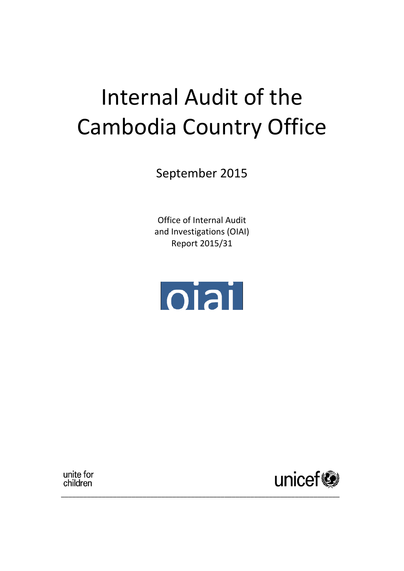# Internal Audit of the Cambodia Country Office

September 2015

Office of Internal Audit and Investigations (OIAI) Report 2015/31



unite for children

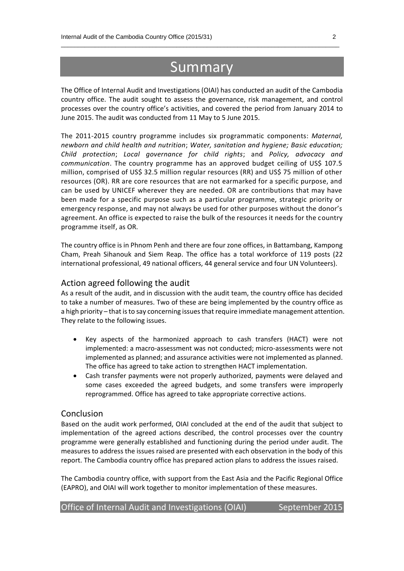## Summary

 $\_$  , and the set of the set of the set of the set of the set of the set of the set of the set of the set of the set of the set of the set of the set of the set of the set of the set of the set of the set of the set of th

The Office of Internal Audit and Investigations (OIAI) has conducted an audit of the Cambodia country office. The audit sought to assess the governance, risk management, and control processes over the country office's activities, and covered the period from January 2014 to June 2015. The audit was conducted from 11 May to 5 June 2015.

The 2011-2015 country programme includes six programmatic components: *Maternal, newborn and child health and nutrition*; *Water, sanitation and hygiene; Basic education; Child protection*; *Local governance for child rights*; and *Policy, advocacy and communication*. The country programme has an approved budget ceiling of US\$ 107.5 million, comprised of US\$ 32.5 million regular resources (RR) and US\$ 75 million of other resources (OR). RR are core resources that are not earmarked for a specific purpose, and can be used by UNICEF wherever they are needed. OR are contributions that may have been made for a specific purpose such as a particular programme, strategic priority or emergency response, and may not always be used for other purposes without the donor's agreement. An office is expected to raise the bulk of the resources it needs for the country programme itself, as OR.

The country office is in Phnom Penh and there are four zone offices, in Battambang, Kampong Cham, Preah Sihanouk and Siem Reap. The office has a total workforce of 119 posts (22 international professional, 49 national officers, 44 general service and four UN Volunteers).

### Action agreed following the audit

As a result of the audit, and in discussion with the audit team, the country office has decided to take a number of measures. Two of these are being implemented by the country office as a high priority – that isto say concerning issues that require immediate management attention. They relate to the following issues.

- Key aspects of the harmonized approach to cash transfers (HACT) were not implemented: a macro-assessment was not conducted; micro-assessments were not implemented as planned; and assurance activities were not implemented as planned. The office has agreed to take action to strengthen HACT implementation.
- Cash transfer payments were not properly authorized, payments were delayed and some cases exceeded the agreed budgets, and some transfers were improperly reprogrammed. Office has agreed to take appropriate corrective actions.

### Conclusion

Based on the audit work performed, OIAI concluded at the end of the audit that subject to implementation of the agreed actions described, the control processes over the country programme were generally established and functioning during the period under audit. The measures to address the issues raised are presented with each observation in the body of this report. The Cambodia country office has prepared action plans to address the issues raised.

The Cambodia country office, with support from the East Asia and the Pacific Regional Office (EAPRO), and OIAI will work together to monitor implementation of these measures.

| Office of Internal Audit and Investigations (OIAI) |  |  |  | September 2015 |
|----------------------------------------------------|--|--|--|----------------|
|----------------------------------------------------|--|--|--|----------------|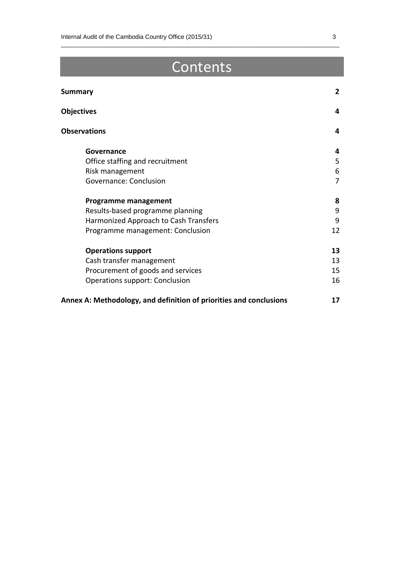# Contents

| <b>Summary</b>                                                     | $\overline{2}$ |  |
|--------------------------------------------------------------------|----------------|--|
| <b>Objectives</b>                                                  | 4              |  |
| <b>Observations</b>                                                | 4              |  |
| Governance                                                         | 4              |  |
| Office staffing and recruitment                                    | 5              |  |
| Risk management                                                    | 6              |  |
| Governance: Conclusion                                             | 7              |  |
| <b>Programme management</b>                                        | 8              |  |
| Results-based programme planning                                   |                |  |
| Harmonized Approach to Cash Transfers                              |                |  |
| Programme management: Conclusion                                   | 12             |  |
| <b>Operations support</b>                                          | 13             |  |
| Cash transfer management                                           | 13             |  |
| Procurement of goods and services                                  | 15             |  |
| <b>Operations support: Conclusion</b>                              | 16             |  |
| Annex A: Methodology, and definition of priorities and conclusions | 17             |  |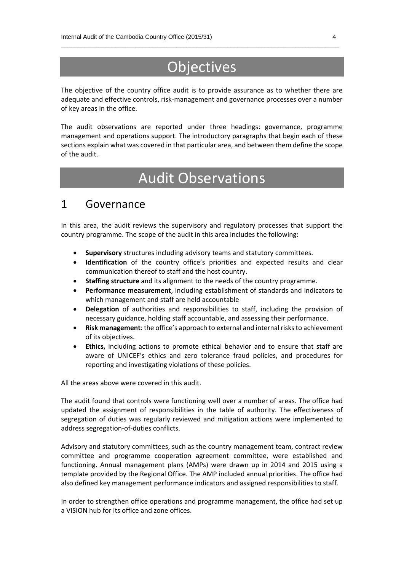# **Objectives**

 $\_$  , and the set of the set of the set of the set of the set of the set of the set of the set of the set of the set of the set of the set of the set of the set of the set of the set of the set of the set of the set of th

The objective of the country office audit is to provide assurance as to whether there are adequate and effective controls, risk-management and governance processes over a number of key areas in the office.

The audit observations are reported under three headings: governance, programme management and operations support. The introductory paragraphs that begin each of these sections explain what was covered in that particular area, and between them define the scope of the audit.

# Audit Observations

### 1 Governance

In this area, the audit reviews the supervisory and regulatory processes that support the country programme. The scope of the audit in this area includes the following:

- **Supervisory** structures including advisory teams and statutory committees.
- **Identification** of the country office's priorities and expected results and clear communication thereof to staff and the host country.
- **Staffing structure** and its alignment to the needs of the country programme.
- **Performance measurement**, including establishment of standards and indicators to which management and staff are held accountable
- **Delegation** of authorities and responsibilities to staff, including the provision of necessary guidance, holding staff accountable, and assessing their performance.
- **Risk management**: the office's approach to external and internal risks to achievement of its objectives.
- **Ethics,** including actions to promote ethical behavior and to ensure that staff are aware of UNICEF's ethics and zero tolerance fraud policies, and procedures for reporting and investigating violations of these policies.

All the areas above were covered in this audit.

The audit found that controls were functioning well over a number of areas. The office had updated the assignment of responsibilities in the table of authority. The effectiveness of segregation of duties was regularly reviewed and mitigation actions were implemented to address segregation-of-duties conflicts.

Advisory and statutory committees, such as the country management team, contract review committee and programme cooperation agreement committee, were established and functioning. Annual management plans (AMPs) were drawn up in 2014 and 2015 using a template provided by the Regional Office. The AMP included annual priorities. The office had also defined key management performance indicators and assigned responsibilities to staff.

In order to strengthen office operations and programme management, the office had set up a VISION hub for its office and zone offices.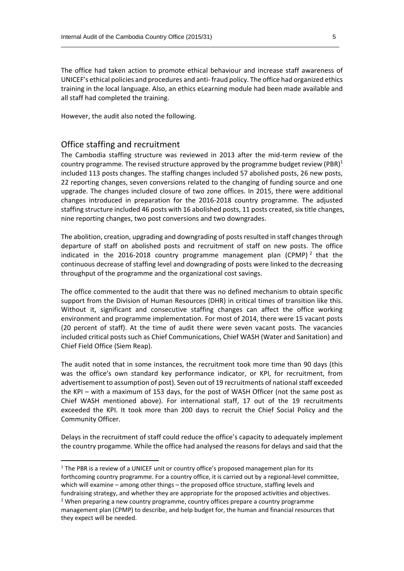The office had taken action to promote ethical behaviour and increase staff awareness of UNICEF's ethical policies and procedures and anti- fraud policy. The office had organized ethics training in the local language. Also, an ethics eLearning module had been made available and all staff had completed the training.

However, the audit also noted the following.

### Office staffing and recruitment

**.** 

The Cambodia staffing structure was reviewed in 2013 after the mid-term review of the country programme. The revised structure approved by the programme budget review (PBR)<sup>1</sup> included 113 posts changes. The staffing changes included 57 abolished posts, 26 new posts, 22 reporting changes, seven conversions related to the changing of funding source and one upgrade. The changes included closure of two zone offices. In 2015, there were additional changes introduced in preparation for the 2016-2018 country programme. The adjusted staffing structure included 46 posts with 16 abolished posts, 11 posts created, six title changes, nine reporting changes, two post conversions and two downgrades.

The abolition, creation, upgrading and downgrading of posts resulted in staff changes through departure of staff on abolished posts and recruitment of staff on new posts. The office indicated in the 2016-2018 country programme management plan (CPMP) $<sup>2</sup>$  that the</sup> continuous decrease of staffing level and downgrading of posts were linked to the decreasing throughput of the programme and the organizational cost savings.

The office commented to the audit that there was no defined mechanism to obtain specific support from the Division of Human Resources (DHR) in critical times of transition like this. Without it, significant and consecutive staffing changes can affect the office working environment and programme implementation. For most of 2014, there were 15 vacant posts (20 percent of staff). At the time of audit there were seven vacant posts. The vacancies included critical posts such as Chief Communications, Chief WASH (Water and Sanitation) and Chief Field Office (Siem Reap).

The audit noted that in some instances, the recruitment took more time than 90 days (this was the office's own standard key performance indicator, or KPI, for recruitment, from advertisement to assumption of post). Seven out of 19 recruitments of national staff exceeded the KPI – with a maximum of 153 days, for the post of WASH Officer (not the same post as Chief WASH mentioned above). For international staff, 17 out of the 19 recruitments exceeded the KPI. It took more than 200 days to recruit the Chief Social Policy and the Community Officer.

Delays in the recruitment of staff could reduce the office's capacity to adequately implement the country progamme. While the office had analysed the reasons for delays and said that the

<sup>&</sup>lt;sup>1</sup> The PBR is a review of a UNICEF unit or country office's proposed management plan for its forthcoming country programme. For a country office, it is carried out by a regional-level committee, which will examine – among other things – the proposed office structure, staffing levels and fundraising strategy, and whether they are appropriate for the proposed activities and objectives.

<sup>&</sup>lt;sup>2</sup> When preparing a new country programme, country offices prepare a country programme management plan (CPMP) to describe, and help budget for, the human and financial resources that they expect will be needed.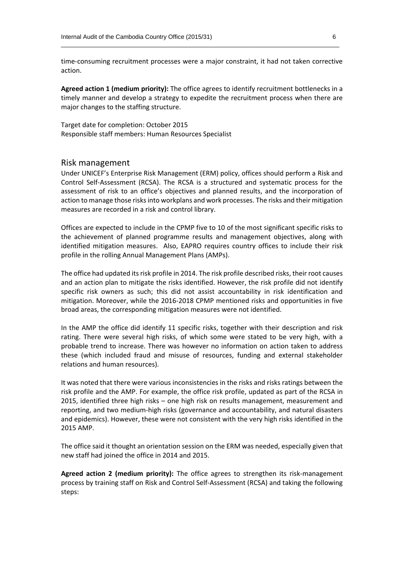time-consuming recruitment processes were a major constraint, it had not taken corrective action.

**Agreed action 1 (medium priority):** The office agrees to identify recruitment bottlenecks in a timely manner and develop a strategy to expedite the recruitment process when there are major changes to the staffing structure.

Target date for completion: October 2015 Responsible staff members: Human Resources Specialist

#### Risk management

Under UNICEF's Enterprise Risk Management (ERM) policy, offices should perform a Risk and Control Self-Assessment (RCSA). The RCSA is a structured and systematic process for the assessment of risk to an office's objectives and planned results, and the incorporation of action to manage those risks into workplans and work processes. The risks and their mitigation measures are recorded in a risk and control library.

Offices are expected to include in the CPMP five to 10 of the most significant specific risks to the achievement of planned programme results and management objectives, along with identified mitigation measures. Also, EAPRO requires country offices to include their risk profile in the rolling Annual Management Plans (AMPs).

The office had updated its risk profile in 2014. The risk profile described risks, their root causes and an action plan to mitigate the risks identified. However, the risk profile did not identify specific risk owners as such; this did not assist accountability in risk identification and mitigation. Moreover, while the 2016-2018 CPMP mentioned risks and opportunities in five broad areas, the corresponding mitigation measures were not identified.

In the AMP the office did identify 11 specific risks, together with their description and risk rating. There were several high risks, of which some were stated to be very high, with a probable trend to increase. There was however no information on action taken to address these (which included fraud and misuse of resources, funding and external stakeholder relations and human resources).

It was noted that there were various inconsistencies in the risks and risks ratings between the risk profile and the AMP. For example, the office risk profile, updated as part of the RCSA in 2015, identified three high risks – one high risk on results management, measurement and reporting, and two medium-high risks (governance and accountability, and natural disasters and epidemics). However, these were not consistent with the very high risks identified in the 2015 AMP.

The office said it thought an orientation session on the ERM was needed, especially given that new staff had joined the office in 2014 and 2015.

**Agreed action 2 (medium priority):** The office agrees to strengthen its risk-management process by training staff on Risk and Control Self-Assessment (RCSA) and taking the following steps: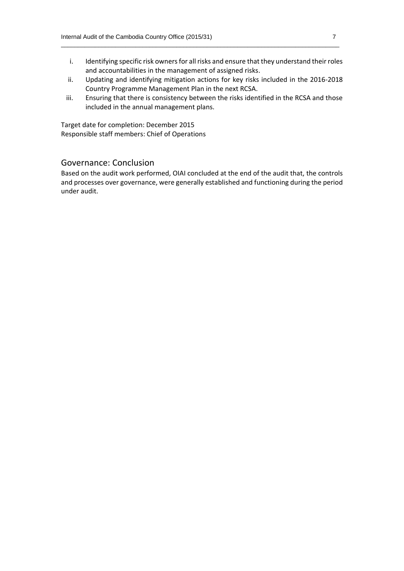- i. Identifying specific risk owners for all risks and ensure that they understand their roles and accountabilities in the management of assigned risks.
- ii. Updating and identifying mitigation actions for key risks included in the 2016-2018 Country Programme Management Plan in the next RCSA.
- iii. Ensuring that there is consistency between the risks identified in the RCSA and those included in the annual management plans.

Target date for completion: December 2015 Responsible staff members: Chief of Operations

### Governance: Conclusion

Based on the audit work performed, OIAI concluded at the end of the audit that, the controls and processes over governance, were generally established and functioning during the period under audit.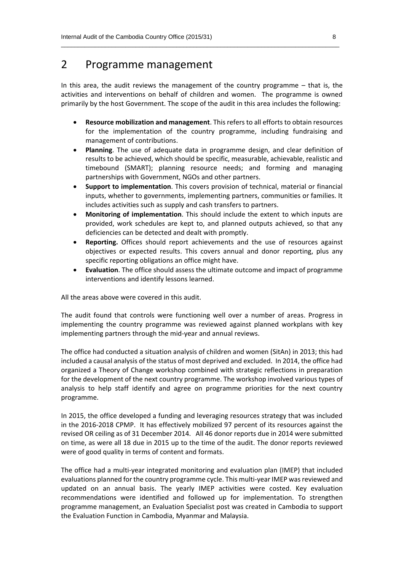### 2 Programme management

In this area, the audit reviews the management of the country programme – that is, the activities and interventions on behalf of children and women. The programme is owned primarily by the host Government. The scope of the audit in this area includes the following:

- **Resource mobilization and management**. This refers to all efforts to obtain resources for the implementation of the country programme, including fundraising and management of contributions.
- **Planning**. The use of adequate data in programme design, and clear definition of results to be achieved, which should be specific, measurable, achievable, realistic and timebound (SMART); planning resource needs; and forming and managing partnerships with Government, NGOs and other partners.
- **Support to implementation**. This covers provision of technical, material or financial inputs, whether to governments, implementing partners, communities or families. It includes activities such as supply and cash transfers to partners.
- **Monitoring of implementation**. This should include the extent to which inputs are provided, work schedules are kept to, and planned outputs achieved, so that any deficiencies can be detected and dealt with promptly.
- **Reporting.** Offices should report achievements and the use of resources against objectives or expected results. This covers annual and donor reporting, plus any specific reporting obligations an office might have.
- **Evaluation**. The office should assess the ultimate outcome and impact of programme interventions and identify lessons learned.

All the areas above were covered in this audit.

The audit found that controls were functioning well over a number of areas. Progress in implementing the country programme was reviewed against planned workplans with key implementing partners through the mid-year and annual reviews.

The office had conducted a situation analysis of children and women (SitAn) in 2013; this had included a causal analysis of the status of most deprived and excluded. In 2014, the office had organized a Theory of Change workshop combined with strategic reflections in preparation for the development of the next country programme. The workshop involved various types of analysis to help staff identify and agree on programme priorities for the next country programme.

In 2015, the office developed a funding and leveraging resources strategy that was included in the 2016-2018 CPMP. It has effectively mobilized 97 percent of its resources against the revised OR ceiling as of 31 December 2014. All 46 donor reports due in 2014 were submitted on time, as were all 18 due in 2015 up to the time of the audit. The donor reports reviewed were of good quality in terms of content and formats.

The office had a multi-year integrated monitoring and evaluation plan (IMEP) that included evaluations planned for the country programme cycle. This multi-year IMEP was reviewed and updated on an annual basis. The yearly IMEP activities were costed. Key evaluation recommendations were identified and followed up for implementation. To strengthen programme management, an Evaluation Specialist post was created in Cambodia to support the Evaluation Function in Cambodia, Myanmar and Malaysia.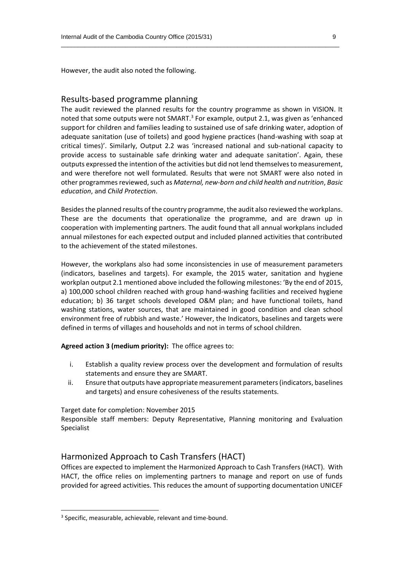However, the audit also noted the following.

### Results-based programme planning

The audit reviewed the planned results for the country programme as shown in VISION. It noted that some outputs were not SMART.<sup>3</sup> For example, output 2.1, was given as 'enhanced support for children and families leading to sustained use of safe drinking water, adoption of adequate sanitation (use of toilets) and good hygiene practices (hand-washing with soap at critical times)'. Similarly, Output 2.2 was 'increased national and sub-national capacity to provide access to sustainable safe drinking water and adequate sanitation'. Again, these outputs expressed the intention of the activities but did not lend themselves to measurement, and were therefore not well formulated. Results that were not SMART were also noted in other programmes reviewed, such as *Maternal, new-born and child health and nutrition*, *Basic education*, and *Child Protection*.

 $\_$  , and the set of the set of the set of the set of the set of the set of the set of the set of the set of the set of the set of the set of the set of the set of the set of the set of the set of the set of the set of th

Besides the planned results of the country programme, the audit also reviewed the workplans. These are the documents that operationalize the programme, and are drawn up in cooperation with implementing partners. The audit found that all annual workplans included annual milestones for each expected output and included planned activities that contributed to the achievement of the stated milestones.

However, the workplans also had some inconsistencies in use of measurement parameters (indicators, baselines and targets). For example, the 2015 water, sanitation and hygiene workplan output 2.1 mentioned above included the following milestones: 'By the end of 2015, a) 100,000 school children reached with group hand-washing facilities and received hygiene education; b) 36 target schools developed O&M plan; and have functional toilets, hand washing stations, water sources, that are maintained in good condition and clean school environment free of rubbish and waste.' However, the Indicators, baselines and targets were defined in terms of villages and households and not in terms of school children.

**Agreed action 3 (medium priority):** The office agrees to:

- i. Establish a quality review process over the development and formulation of results statements and ensure they are SMART.
- ii. Ensure that outputs have appropriate measurement parameters (indicators, baselines and targets) and ensure cohesiveness of the results statements.

Target date for completion: November 2015

Responsible staff members: Deputy Representative, Planning monitoring and Evaluation Specialist

### Harmonized Approach to Cash Transfers (HACT)

Offices are expected to implement the Harmonized Approach to Cash Transfers (HACT). With HACT, the office relies on implementing partners to manage and report on use of funds provided for agreed activities. This reduces the amount of supporting documentation UNICEF

**.** 

<sup>&</sup>lt;sup>3</sup> Specific, measurable, achievable, relevant and time-bound.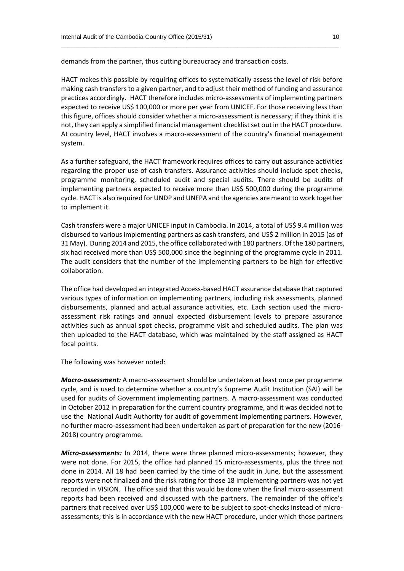demands from the partner, thus cutting bureaucracy and transaction costs.

HACT makes this possible by requiring offices to systematically assess the level of risk before making cash transfers to a given partner, and to adjust their method of funding and assurance practices accordingly. HACT therefore includes micro-assessments of implementing partners expected to receive US\$ 100,000 or more per year from UNICEF. For those receiving less than this figure, offices should consider whether a micro-assessment is necessary; if they think it is not, they can apply a simplified financial management checklistset out in the HACT procedure. At country level, HACT involves a macro-assessment of the country's financial management system.

 $\_$  , and the set of the set of the set of the set of the set of the set of the set of the set of the set of the set of the set of the set of the set of the set of the set of the set of the set of the set of the set of th

As a further safeguard, the HACT framework requires offices to carry out assurance activities regarding the proper use of cash transfers. Assurance activities should include spot checks, programme monitoring, scheduled audit and special audits. There should be audits of implementing partners expected to receive more than US\$ 500,000 during the programme cycle. HACT is also required for UNDP and UNFPA and the agencies are meant to work together to implement it.

Cash transfers were a major UNICEF input in Cambodia. In 2014, a total of US\$ 9.4 million was disbursed to various implementing partners as cash transfers, and US\$ 2 million in 2015 (as of 31 May). During 2014 and 2015, the office collaborated with 180 partners. Of the 180 partners, six had received more than US\$ 500,000 since the beginning of the programme cycle in 2011. The audit considers that the number of the implementing partners to be high for effective collaboration.

The office had developed an integrated Access-based HACT assurance database that captured various types of information on implementing partners, including risk assessments, planned disbursements, planned and actual assurance activities, etc. Each section used the microassessment risk ratings and annual expected disbursement levels to prepare assurance activities such as annual spot checks, programme visit and scheduled audits. The plan was then uploaded to the HACT database, which was maintained by the staff assigned as HACT focal points.

The following was however noted:

*Macro-assessment:* A macro-assessment should be undertaken at least once per programme cycle, and is used to determine whether a country's Supreme Audit Institution (SAI) will be used for audits of Government implementing partners. A macro-assessment was conducted in October 2012 in preparation for the current country programme, and it was decided not to use the National Audit Authority for audit of government implementing partners. However, no further macro-assessment had been undertaken as part of preparation for the new (2016- 2018) country programme.

*Micro-assessments:* In 2014, there were three planned micro-assessments; however, they were not done. For 2015, the office had planned 15 micro-assessments, plus the three not done in 2014. All 18 had been carried by the time of the audit in June, but the assessment reports were not finalized and the risk rating for those 18 implementing partners was not yet recorded in VISION. The office said that this would be done when the final micro-assessment reports had been received and discussed with the partners. The remainder of the office's partners that received over US\$ 100,000 were to be subject to spot-checks instead of microassessments; this is in accordance with the new HACT procedure, under which those partners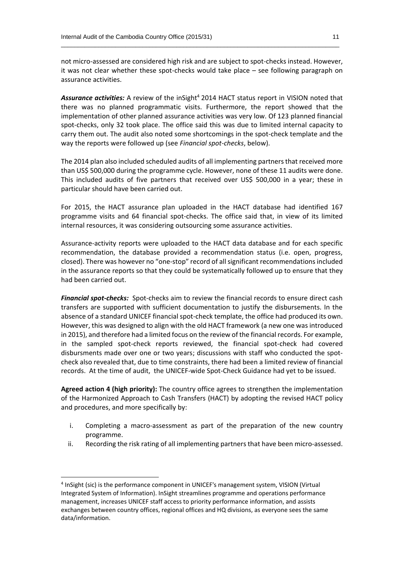not micro-assessed are considered high risk and are subject to spot-checks instead. However, it was not clear whether these spot-checks would take place – see following paragraph on assurance activities.

 $\_$  , and the set of the set of the set of the set of the set of the set of the set of the set of the set of the set of the set of the set of the set of the set of the set of the set of the set of the set of the set of th

Assurance activities: A review of the inSight<sup>4</sup> 2014 HACT status report in VISION noted that there was no planned programmatic visits. Furthermore, the report showed that the implementation of other planned assurance activities was very low. Of 123 planned financial spot-checks, only 32 took place. The office said this was due to limited internal capacity to carry them out. The audit also noted some shortcomings in the spot-check template and the way the reports were followed up (see *Financial spot-checks*, below).

The 2014 plan also included scheduled audits of all implementing partners that received more than US\$ 500,000 during the programme cycle. However, none of these 11 audits were done. This included audits of five partners that received over US\$ 500,000 in a year; these in particular should have been carried out.

For 2015, the HACT assurance plan uploaded in the HACT database had identified 167 programme visits and 64 financial spot-checks. The office said that, in view of its limited internal resources, it was considering outsourcing some assurance activities.

Assurance-activity reports were uploaded to the HACT data database and for each specific recommendation, the database provided a recommendation status (i.e. open, progress, closed). There was however no "one-stop" record of all significant recommendations included in the assurance reports so that they could be systematically followed up to ensure that they had been carried out.

*Financial spot-checks:* Spot-checks aim to review the financial records to ensure direct cash transfers are supported with sufficient documentation to justify the disbursements. In the absence of a standard UNICEF financial spot-check template, the office had produced its own. However, this was designed to align with the old HACT framework (a new one was introduced in 2015), and therefore had a limited focus on the review of the financial records. For example, in the sampled spot-check reports reviewed, the financial spot-check had covered disbursments made over one or two years; discussions with staff who conducted the spotcheck also revealed that, due to time constraints, there had been a limited review of financial records. At the time of audit, the UNICEF-wide Spot-Check Guidance had yet to be issued.

**Agreed action 4 (high priority):** The country office agrees to strengthen the implementation of the Harmonized Approach to Cash Transfers (HACT) by adopting the revised HACT policy and procedures, and more specifically by:

- i. Completing a macro-assessment as part of the preparation of the new country programme.
- ii. Recording the risk rating of all implementing partners that have been micro-assessed.

**.** 

<sup>&</sup>lt;sup>4</sup> InSight (sic) is the performance component in UNICEF's management system, VISION (Virtual Integrated System of Information). InSight streamlines programme and operations performance management, increases UNICEF staff access to priority performance information, and assists exchanges between country offices, regional offices and HQ divisions, as everyone sees the same data/information.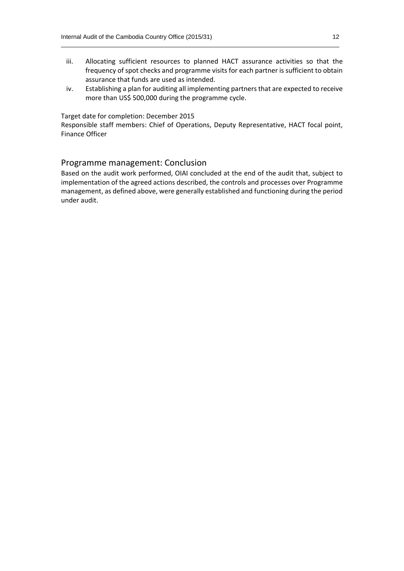iii. Allocating sufficient resources to planned HACT assurance activities so that the frequency of spot checks and programme visits for each partner is sufficient to obtain assurance that funds are used as intended.

 $\_$  , and the set of the set of the set of the set of the set of the set of the set of the set of the set of the set of the set of the set of the set of the set of the set of the set of the set of the set of the set of th

iv. Establishing a plan for auditing all implementing partners that are expected to receive more than US\$ 500,000 during the programme cycle.

Target date for completion: December 2015

Responsible staff members: Chief of Operations, Deputy Representative, HACT focal point, Finance Officer

### Programme management: Conclusion

Based on the audit work performed, OIAI concluded at the end of the audit that, subject to implementation of the agreed actions described, the controls and processes over Programme management, as defined above, were generally established and functioning during the period under audit.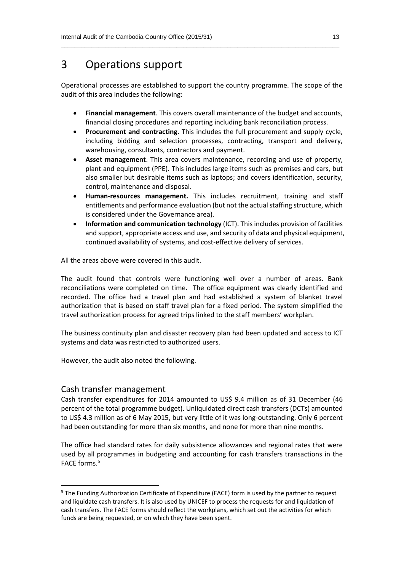### 3 Operations support

Operational processes are established to support the country programme. The scope of the audit of this area includes the following:

 $\_$  , and the set of the set of the set of the set of the set of the set of the set of the set of the set of the set of the set of the set of the set of the set of the set of the set of the set of the set of the set of th

- **Financial management**. This covers overall maintenance of the budget and accounts, financial closing procedures and reporting including bank reconciliation process.
- **Procurement and contracting.** This includes the full procurement and supply cycle, including bidding and selection processes, contracting, transport and delivery, warehousing, consultants, contractors and payment.
- **Asset management**. This area covers maintenance, recording and use of property, plant and equipment (PPE). This includes large items such as premises and cars, but also smaller but desirable items such as laptops; and covers identification, security, control, maintenance and disposal.
- **Human-resources management.** This includes recruitment, training and staff entitlements and performance evaluation (but not the actual staffing structure, which is considered under the Governance area).
- **Information and communication technology** (ICT). This includes provision of facilities and support, appropriate access and use, and security of data and physical equipment, continued availability of systems, and cost-effective delivery of services.

All the areas above were covered in this audit.

The audit found that controls were functioning well over a number of areas. Bank reconciliations were completed on time. The office equipment was clearly identified and recorded. The office had a travel plan and had established a system of blanket travel authorization that is based on staff travel plan for a fixed period. The system simplified the travel authorization process for agreed trips linked to the staff members' workplan.

The business continuity plan and disaster recovery plan had been updated and access to ICT systems and data was restricted to authorized users.

However, the audit also noted the following.

### Cash transfer management

1

Cash transfer expenditures for 2014 amounted to US\$ 9.4 million as of 31 December (46 percent of the total programme budget). Unliquidated direct cash transfers (DCTs) amounted to US\$ 4.3 million as of 6 May 2015, but very little of it was long-outstanding. Only 6 percent had been outstanding for more than six months, and none for more than nine months.

The office had standard rates for daily subsistence allowances and regional rates that were used by all programmes in budgeting and accounting for cash transfers transactions in the FACE forms. 5

<sup>5</sup> The Funding Authorization Certificate of Expenditure (FACE) form is used by the partner to request and liquidate cash transfers. It is also used by UNICEF to process the requests for and liquidation of cash transfers. The FACE forms should reflect the workplans, which set out the activities for which funds are being requested, or on which they have been spent.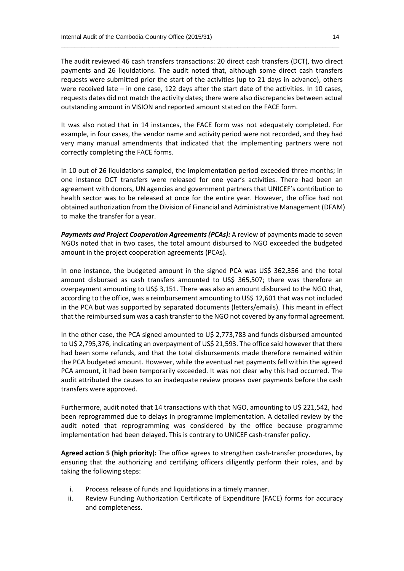The audit reviewed 46 cash transfers transactions: 20 direct cash transfers (DCT), two direct payments and 26 liquidations. The audit noted that, although some direct cash transfers requests were submitted prior the start of the activities (up to 21 days in advance), others were received late – in one case, 122 days after the start date of the activities. In 10 cases, requests dates did not match the activity dates; there were also discrepancies between actual outstanding amount in VISION and reported amount stated on the FACE form.

 $\_$  , and the set of the set of the set of the set of the set of the set of the set of the set of the set of the set of the set of the set of the set of the set of the set of the set of the set of the set of the set of th

It was also noted that in 14 instances, the FACE form was not adequately completed. For example, in four cases, the vendor name and activity period were not recorded, and they had very many manual amendments that indicated that the implementing partners were not correctly completing the FACE forms.

In 10 out of 26 liquidations sampled, the implementation period exceeded three months; in one instance DCT transfers were released for one year's activities. There had been an agreement with donors, UN agencies and government partners that UNICEF's contribution to health sector was to be released at once for the entire year. However, the office had not obtained authorization from the Division of Financial and Administrative Management (DFAM) to make the transfer for a year.

*Payments and Project Cooperation Agreements (PCAs):* A review of payments made to seven NGOs noted that in two cases, the total amount disbursed to NGO exceeded the budgeted amount in the project cooperation agreements (PCAs).

In one instance, the budgeted amount in the signed PCA was US\$ 362,356 and the total amount disbursed as cash transfers amounted to US\$ 365,507; there was therefore an overpayment amounting to US\$ 3,151. There was also an amount disbursed to the NGO that, according to the office, was a reimbursement amounting to US\$ 12,601 that was not included in the PCA but was supported by separated documents (letters/emails). This meant in effect that the reimbursed sum was a cash transfer to the NGO not covered by any formal agreement.

In the other case, the PCA signed amounted to U\$ 2,773,783 and funds disbursed amounted to U\$ 2,795,376, indicating an overpayment of US\$ 21,593. The office said however that there had been some refunds, and that the total disbursements made therefore remained within the PCA budgeted amount. However, while the eventual net payments fell within the agreed PCA amount, it had been temporarily exceeded. It was not clear why this had occurred. The audit attributed the causes to an inadequate review process over payments before the cash transfers were approved.

Furthermore, audit noted that 14 transactions with that NGO, amounting to U\$ 221,542, had been reprogrammed due to delays in programme implementation. A detailed review by the audit noted that reprogramming was considered by the office because programme implementation had been delayed. This is contrary to UNICEF cash-transfer policy.

**Agreed action 5 (high priority):** The office agrees to strengthen cash-transfer procedures, by ensuring that the authorizing and certifying officers diligently perform their roles, and by taking the following steps:

- i. Process release of funds and liquidations in a timely manner.
- ii. Review Funding Authorization Certificate of Expenditure (FACE) forms for accuracy and completeness.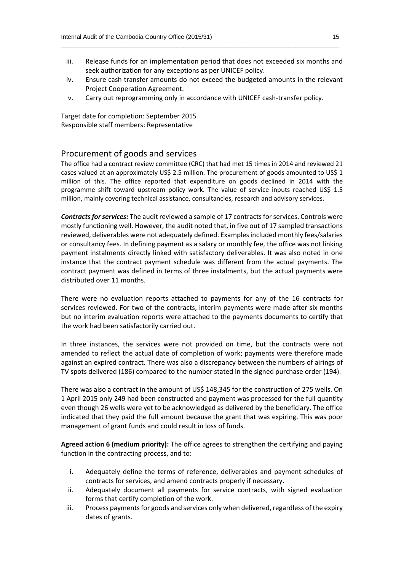iii. Release funds for an implementation period that does not exceeded six months and seek authorization for any exceptions as per UNICEF policy.

 $\_$  , and the set of the set of the set of the set of the set of the set of the set of the set of the set of the set of the set of the set of the set of the set of the set of the set of the set of the set of the set of th

- iv. Ensure cash transfer amounts do not exceed the budgeted amounts in the relevant Project Cooperation Agreement.
- v. Carry out reprogramming only in accordance with UNICEF cash-transfer policy.

Target date for completion: September 2015 Responsible staff members: Representative

### Procurement of goods and services

The office had a contract review committee (CRC) that had met 15 times in 2014 and reviewed 21 cases valued at an approximately US\$ 2.5 million. The procurement of goods amounted to US\$ 1 million of this. The office reported that expenditure on goods declined in 2014 with the programme shift toward upstream policy work. The value of service inputs reached US\$ 1.5 million, mainly covering technical assistance, consultancies, research and advisory services.

*Contracts for services:* The audit reviewed a sample of 17 contracts for services. Controls were mostly functioning well. However, the audit noted that, in five out of 17 sampled transactions reviewed, deliverables were not adequately defined. Examples included monthly fees/salaries or consultancy fees. In defining payment as a salary or monthly fee, the office was not linking payment instalments directly linked with satisfactory deliverables. It was also noted in one instance that the contract payment schedule was different from the actual payments. The contract payment was defined in terms of three instalments, but the actual payments were distributed over 11 months.

There were no evaluation reports attached to payments for any of the 16 contracts for services reviewed. For two of the contracts, interim payments were made after six months but no interim evaluation reports were attached to the payments documents to certify that the work had been satisfactorily carried out.

In three instances, the services were not provided on time, but the contracts were not amended to reflect the actual date of completion of work; payments were therefore made against an expired contract. There was also a discrepancy between the numbers of airings of TV spots delivered (186) compared to the number stated in the signed purchase order (194).

There was also a contract in the amount of US\$ 148,345 for the construction of 275 wells. On 1 April 2015 only 249 had been constructed and payment was processed for the full quantity even though 26 wells were yet to be acknowledged as delivered by the beneficiary. The office indicated that they paid the full amount because the grant that was expiring. This was poor management of grant funds and could result in loss of funds.

**Agreed action 6 (medium priority):** The office agrees to strengthen the certifying and paying function in the contracting process, and to:

- i. Adequately define the terms of reference, deliverables and payment schedules of contracts for services, and amend contracts properly if necessary.
- ii. Adequately document all payments for service contracts, with signed evaluation forms that certify completion of the work.
- iii. Process payments for goods and services only when delivered, regardless of the expiry dates of grants.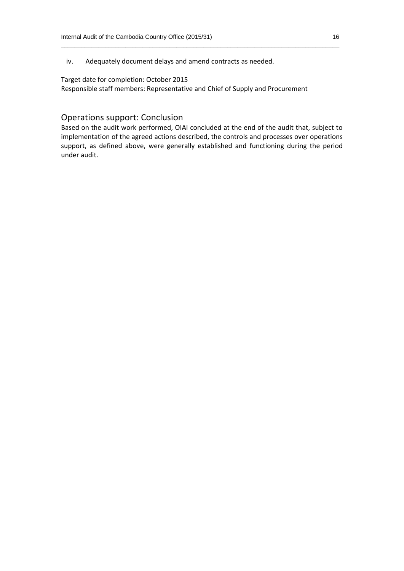iv. Adequately document delays and amend contracts as needed.

#### Target date for completion: October 2015

Responsible staff members: Representative and Chief of Supply and Procurement

### Operations support: Conclusion

Based on the audit work performed, OIAI concluded at the end of the audit that, subject to implementation of the agreed actions described, the controls and processes over operations support, as defined above, were generally established and functioning during the period under audit.

 $\_$  , and the set of the set of the set of the set of the set of the set of the set of the set of the set of the set of the set of the set of the set of the set of the set of the set of the set of the set of the set of th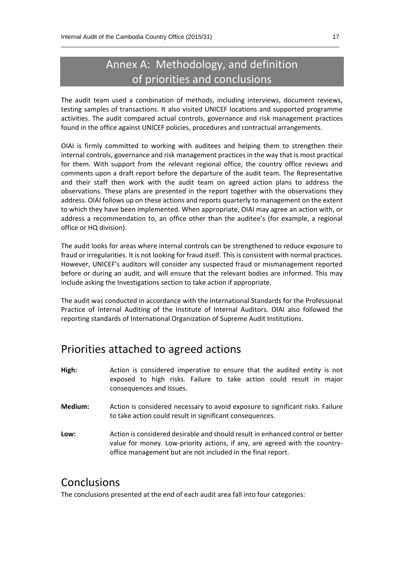### Annex A: Methodology, and definition of priorities and conclusions

 $\_$  , and the set of the set of the set of the set of the set of the set of the set of the set of the set of the set of the set of the set of the set of the set of the set of the set of the set of the set of the set of th

The audit team used a combination of methods, including interviews, document reviews, testing samples of transactions. It also visited UNICEF locations and supported programme activities. The audit compared actual controls, governance and risk management practices found in the office against UNICEF policies, procedures and contractual arrangements.

OIAI is firmly committed to working with auditees and helping them to strengthen their internal controls, governance and risk management practices in the way that is most practical for them. With support from the relevant regional office, the country office reviews and comments upon a draft report before the departure of the audit team. The Representative and their staff then work with the audit team on agreed action plans to address the observations. These plans are presented in the report together with the observations they address. OIAI follows up on these actions and reports quarterly to management on the extent to which they have been implemented. When appropriate, OIAI may agree an action with, or address a recommendation to, an office other than the auditee's (for example, a regional office or HQ division).

The audit looks for areas where internal controls can be strengthened to reduce exposure to fraud or irregularities. It is not looking for fraud itself. This is consistent with normal practices. However, UNICEF's auditors will consider any suspected fraud or mismanagement reported before or during an audit, and will ensure that the relevant bodies are informed. This may include asking the Investigations section to take action if appropriate.

The audit was conducted in accordance with the International Standards for the Professional Practice of Internal Auditing of the Institute of Internal Auditors. OIAI also followed the reporting standards of International Organization of Supreme Audit Institutions.

### Priorities attached to agreed actions

- **High:** Action is considered imperative to ensure that the audited entity is not exposed to high risks. Failure to take action could result in major consequences and issues.
- **Medium:** Action is considered necessary to avoid exposure to significant risks. Failure to take action could result in significant consequences.
- **Low:** Action is considered desirable and should result in enhanced control or better value for money. Low-priority actions, if any, are agreed with the countryoffice management but are not included in the final report.

### **Conclusions**

The conclusions presented at the end of each audit area fall into four categories: